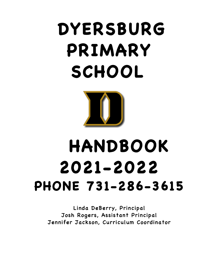# **DYERSBURG PRIMARY SCHOOL**



# **HANDBOOK 2021-2022 PHONE 731-286-3615**

Linda DeBerry, Principal Josh Rogers, Assistant Principal Jennifer Jackson, Curriculum Coordinator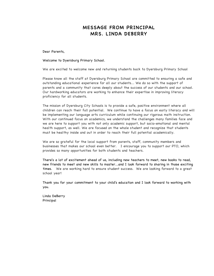# MESSAGE FROM PRINCIPAL MRS. LINDA DEBERRY

Dear Parents,

Welcome to Dyersburg Primary School.

We are excited to welcome new and returning students back to Dyersburg Primary School

Please know all the staff at Dyersburg Primary School are committed to ensuring a safe and outstanding educational experience for all our students... We do so with the support of parents and a community that cares deeply about the success of our students and our school. Our hardworking educators are working to enhance their expertise in improving literacy proficiency for all students.

The mission of Dyersburg City Schools is to provide a safe, positive environment where all children can reach their full potential. We continue to have a focus on early literacy and will be implementing our language arts curriculum while continuing our rigorous math instruction. With our continued focus on academics, we understand the challenges many families face and we are here to support you with not only academic support, but socio-emotional and mental health support, as well. We are focused on the whole student and recognize that students must be healthy inside and out in order to reach their full potential academically.

We are so grateful for the local support from parents, staff, community members and businesses that makes our school even better. I encourage you to support our PTO, which provides so many opportunities for both students and teachers.

There's a lot of excitement ahead of us, including new teachers to meet, new books to read, new friends to meet and new skills to master...and I look forward to sharing in those exciting times. We are working hard to ensure student success. We are looking forward to a great school year!

Thank you for your commitment to your child's education and I look forward to working with you.

Linda DeBerry Principal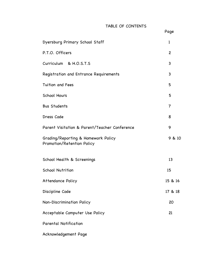# TABLE OF CONTENTS

Page

| Dyersburg Primary School Staff                                    | 1              |
|-------------------------------------------------------------------|----------------|
| P.T.O. Officers                                                   | $\overline{c}$ |
| Curriculum & H.O.S.T.S                                            | 3              |
| Registration and Entrance Requirements                            | 3              |
| Tuition and Fees                                                  | 5              |
| School Hours                                                      | 5              |
| <b>Bus Students</b>                                               | 7              |
| Dress Code                                                        | 8              |
| Parent Visitation & Parent/Teacher Conference                     | 9              |
| Grading/Reporting & Homework Policy<br>Promotion/Retention Policy | 9 & 10         |
| School Health & Screenings                                        | 13             |
| <b>School Nutrition</b>                                           | 15             |
| <b>Attendance Policy</b>                                          | 15 & 16        |
| Discipline Code                                                   | 17 & 18        |
| <b>Non-Discrimination Policy</b>                                  | 20             |
| Acceptable Computer Use Policy                                    | 21             |
| Parental Notification                                             |                |
|                                                                   |                |

Acknowledgement Page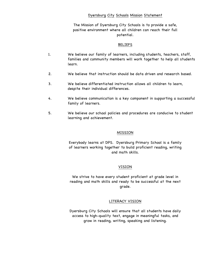#### Dyersburg City Schools Mission Statement

The Mission of Dyersburg City Schools is to provide a safe, positive environment where all children can reach their full potential.

#### BELIEFS

- 1. We believe our family of learners, including students, teachers, staff, families and community members will work together to help all students learn.
- 2. We believe that instruction should be data driven and research based.
- 3. We believe differentiated instruction allows all children to learn, despite their individual differences.
- 4. We believe communication is a key component in supporting a successful family of learners.
- 5. We believe our school policies and procedures are conducive to student learning and achievement.

#### MISSION

Everybody learns at DPS. Dyersburg Primary School is a family of learners working together to build proficient reading, writing and math skills.

#### VISION

We strive to have every student proficient at grade level in reading and math skills and ready to be successful at the next grade.

#### LITERACY VISION

Dyersburg City Schools will ensure that all students have daily access to high-quality text, engage in meaningful tasks, and grow in reading, writing, speaking and listening.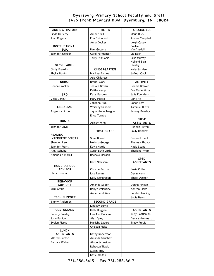### Dyersburg Primary School Faculty and Staff 1425 Frank Maynard Blvd. Dyersburg, TN 38024

| <b>ADMINISTRATORS</b>             | PRE - K                | SPECIAL ED.                      |
|-----------------------------------|------------------------|----------------------------------|
| Linda DeBerry                     | Amber Ball             | Marie Buck                       |
| Josh Rogers                       | Erin Chitwood          | Amber Campbell                   |
|                                   | Anna Decker            | Leigh Casey                      |
| <b>INSTRUCTIONAL</b>              |                        | Emilee                           |
| SUP.                              | Pam Guttery            | VanAusdall                       |
| Jennifer Jackson                  | Carol Permenter        | Liz Nash                         |
|                                   | <b>Terry Stanionis</b> | Lillie Murray                    |
|                                   |                        | Holland-Blair                    |
| <b>SECRETARIES</b>                |                        | Owsley                           |
| Cindy Franklin                    | KINDERGARTEN           | Kelly Sanders                    |
| Phyllis Hanks                     | Marikay Barnes         | JoBeth Cook                      |
|                                   | Asia Childress         |                                  |
| <b>NURSE</b>                      | <b>Brandi Clark</b>    | <b>ACTIVITY</b>                  |
| Donna Crocker                     | Jessica Govan          | Connie Brewer                    |
|                                   | Kaitlin Kemp           | Eva Marie Kirby                  |
| <b>SRO</b>                        | Kate Mascolo           | Julie Pounders                   |
| Vella Denny                       | Mary Moore             | Lori Fite                        |
|                                   | Jonanne Pike           | Lance Roy                        |
| <b>LIBRARIAN</b>                  | <b>Whitney Sanders</b> | Tammie Klutts                    |
| Angie Hamilton                    | Jayne Anne Teague      | Jenney Beasley                   |
|                                   | Erica Turnbo           |                                  |
| <b>HOSTS</b>                      |                        | PRE-K                            |
|                                   | Ashley Winn            | <b>ASSISTANTS</b>                |
| Jennifer Davis                    |                        | Hannah Haynie                    |
|                                   | <b>FIRST GRADE</b>     | <b>Emily Hendrix</b>             |
| <b>READING</b>                    |                        |                                  |
| <b>INTERVENTIONISTS</b>           | Shae Burrell           | <b>Brooke Lovell</b>             |
| Shannon Lee                       | Melinda George         | Theresa Rhoads                   |
| Jennifer Pruitt                   | Kayla Harris           | Katie Stone                      |
| Amy Schultz                       | Sarah Beth Little      | Sherlene Whitt                   |
| Amanda Kimbrell                   | Rachele Morgan         |                                  |
|                                   | Kerri Newsom           | <b>SPED</b><br><b>ASSISTANTS</b> |
| <b>HOME-SCHOOL</b>                |                        |                                  |
| <b>ADVISOR</b>                    | <b>Christie Patton</b> | Susie Collier                    |
| Chris Dishman                     | Lisa Ramm              | Devin Nunn                       |
|                                   | Kelly Richardson       | Sherri Decker                    |
| <b>BEHAVIOR</b>                   |                        |                                  |
| <b>SUPPORT</b>                    | Amanda Spoon           | Donna Hinson                     |
| <b>Brad Smith</b>                 | Robyn Valentine        | Ashton Blake                     |
|                                   | Anne Ladd Welch        | Lorelei Henning                  |
| <b>TECH SUPPORT</b>               |                        | Jodie Bevis                      |
| Jimmy Anderson                    | <b>SECOND GRADE</b>    |                                  |
|                                   | Lindsey Burns          |                                  |
| <b>CUSTODIANS</b>                 | Kelly Duggan           | ASSISTANTS                       |
| Sammy Presley                     | Lea Ann Duncan         | Judy Castleman                   |
| John Runion                       | Alex Epley             | Denise Hammett                   |
| <b>Evelyn Pierce</b>              | Manisha Lazure         | <b>Tracy Purvis</b>              |
|                                   | Chelsea Ricks          |                                  |
| <b>LUNCH</b><br><b>ASSISTANTS</b> | Kathy Robertson        |                                  |
| Mildred Sutton                    | Amanda Sanchez         |                                  |
|                                   |                        |                                  |
| Barbara Walker                    | Alison Schneider       |                                  |
|                                   | Rebecca Tippit         |                                  |
|                                   | Susan Troy             |                                  |
|                                   | Katie Whittle          |                                  |

731-286-3615 – Fax 731-286-3617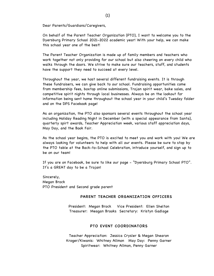Dear Parents/Guardians/Caregivers,

On behalf of the Parent Teacher Organization (PTO), I want to welcome you to the Dyersburg Primary School 2021-2022 academic year! With your help, we can make this school year one of the best!

The Parent Teacher Organization is made up of family members and teachers who work together not only providing for our school but also cheering on every child who walks through the doors. We strive to make sure our teachers, staff, and students have the support they need to succeed at every level.

Throughout the year, we host several different fundraising events. It is through these fundraisers, we can give back to our school. Fundraising opportunities come from membership fees, boxtop online submissions, Trojan spirit wear, bake sales, and competitive spirit nights through local businesses. Always be on the lookout for information being sent home throughout the school year in your child's Tuesday folder and on the DPS Facebook page!

As an organization, the PTO also sponsors several events throughout the school year including Holiday Reading Night in December (with a special appearance from Santa), quarterly spirt awards, Teacher Appreciation week, various staff appreciation days, May Day, and the Book Fair.

As the school year begins, the PTO is excited to meet you and work with you! We are always looking for volunteers to help with all our events. Please be sure to stop by the PTO table at the Back-to-School Celebration, introduce yourself, and sign up to be on our team!

If you are on Facebook, be sure to like our page - "Dyersburg Primary School PTO". It's a GREAT day to be a Trojan!

Sincerely, Megan Brock PTO President and Second grade parent

#### PARENT TEACHER ORGANIZATION OFFICERS

President: Megan Brock Vice President: Ellen Shelton Treasurer: Meagan Brooks Secretary: Kristyn Gadlage

#### PTO EVENT COORDINATORS

Teacher Appreciation: Jessica Crysler & Megan Shearon Kroger/Kiwanis: Whitney Allmon May Day: Penny Garner Spiritwear: Whitney Allmon, Penny Garner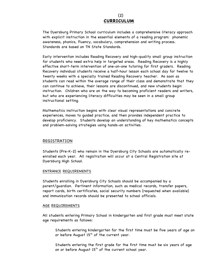# (2) **CURRICULUM**

The Dyersburg Primary School curriculum includes a comprehensive literacy approach with explicit instruction in the essential elements of a reading program: phonemic awareness, phonics, fluency, vocabulary, comprehension and writing process. Standards are based on TN State Standards.

Early intervention includes Reading Recovery and high-quality small group instruction for students who need extra help in targeted areas. Reading Recovery is a highly effective short-term intervention of one-on-one tutoring for first graders. Reading Recovery individual students receive a half-hour lesson each school day for twelve to twenty weeks with a specially trained Reading Recovery teacher. As soon as students can read within the average range of their class and demonstrate that they can continue to achieve, their lessons are discontinued, and new students begin instruction. Children who are on the way to becoming proficient readers and writers, but who are experiencing literacy difficulties may be seen in a small group instructional setting.

Mathematics instruction begins with clear visual representations and concrete experiences, moves to guided practice, and then provides independent practice to develop proficiency. Students develop an understanding of key mathematics concepts and problem-solving strategies using hands-on activities.

#### REGISTRATION

Students (Pre-K-2) who remain in the Dyersburg City Schools are automatically reenrolled each year. All registration will occur at a Central Registration site at Dyersburg High School.

#### ENTRANCE REQUIREMENTS

Students enrolling in Dyersburg City Schools should be accompanied by a parent/guardian. Pertinent information, such as medical records, transfer papers, report cards, birth certificates, social security numbers (requested when available) and immunization records should be presented to school officials.

#### AGE REQUIREMENTS

All students entering Primary School in kindergarten and first grade must meet state age requirements as follows:

Students entering kindergarten for the first time must be five years of age on or before August  $15<sup>th</sup>$  of the current year.

Students entering the first grade for the first time must be six years of age on or before August  $15<sup>th</sup>$  of the current school year.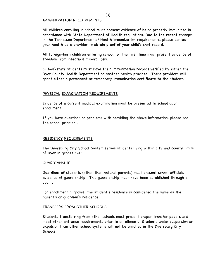#### IMMUNIZATION REQUIREMENTS

All children enrolling in school must present evidence of being properly immunized in accordance with State Department of Health regulations. Due to the recent changes in the Tennessee Department of Health immunization requirements, please contact your health care provider to obtain proof of your child's shot record.

All foreign-born children entering school for the first time must present evidence of freedom from infectious tuberculosis.

Out-of-state students must have their immunization records verified by either the Dyer County Health Department or another health provider. These providers will grant either a permanent or temporary immunization certificate to the student.

#### PHYSICAL EXAMINATION REQUIREMENTS

Evidence of a current medical examination must be presented to school upon enrollment.

If you have questions or problems with providing the above information, please see the school principal.

#### RESIDENCY REQUIREMENTS

The Dyersburg City School System serves students living within city and county limits of Dyer in grades K-12.

#### GUARDIANSHIP

Guardians of students (other than natural parents) must present school officials evidence of guardianship. This guardianship must have been established through a court.

For enrollment purposes, the student's residence is considered the same as the parent's or guardian's residence.

#### TRANSFERS FROM OTHER SCHOOLS

Students transferring from other schools must present proper transfer papers and meet other entrance requirements prior to enrollment. Students under suspension or expulsion from other school systems will not be enrolled in the Dyersburg City Schools.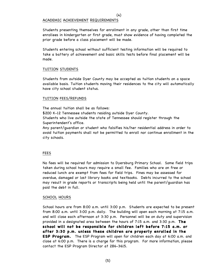#### ACADEMIC ACHIEVEMENT REQUIREMENTS

Students presenting themselves for enrollment in any grade, other than first time enrollees in kindergarten or first grade, must show evidence of having completed the prior grade before a class placement will be made.

Students entering school without sufficient testing information will be required to take a battery of achievement and basic skills tests before final placement will be made.

#### TUITION STUDENTS

Students from outside Dyer County may be accepted as tuition students on a space available basis. Tuition students moving their residences to the city will automatically have city school student status.

#### TUITION FEES/REFUNDS

The annual tuition shall be as follows:

\$200 K-12 Tennessee students residing outside Dyer County.

Students who live outside the state of Tennessee should register through the Superintendent's office.

Any parent/guardian or student who falsifies his/her residential address in order to avoid tuition payments shall not be permitted to enroll nor continue enrollment in the city schools.

#### FEES

No fees will be required for admission to Dyersburg Primary School. Some field trips taken during school hours may require a small fee. Families who are on free or reduced lunch are exempt from fees for field trips. Fines may be assessed for overdue, damaged or lost library books and textbooks. Debts incurred to the school may result in grade reports or transcripts being held until the parent/guardian has paid the debt in full.

#### SCHOOL HOURS

School hours are from 8:00 a.m. until 3:00 p.m. Students are expected to be present from 8:00 a.m. until 3:00 p.m. daily. The building will open each morning at 7:15 a.m. and will close each afternoon at 3:30 p.m. Personnel will be on duty and supervision provided in a designated area between the hours of 7:15 a.m. and 3:30 p.m. **The school will not be responsible for children left before 7:15 a.m. or after 3:30 p.m. unless these children are properly enrolled in the ESP Program.** The ESP Program will open for children each day at 6:00 a.m. and close at 6:00 p.m. There is a charge for this program. For more information, please contact the ESP Program Director at 286-3615.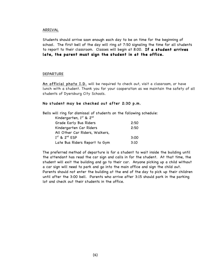#### ARRIVAL

Students should arrive soon enough each day to be on time for the beginning of school. The first bell of the day will ring at 7:50 signaling the time for all students to report to their classroom. Classes will begin at 8:00. **If a student arrives late, the parent must sign the student in at the office.**

#### DEPARTURE

An official photo I.D. will be required to check out, visit a classroom, or have lunch with a student. Thank you for your cooperation as we maintain the safety of all students of Dyersburg City Schools.

#### No student may be checked out after 2:30 p.m.

Bells will ring for dismissal of students on the following schedule:

| Kindergarten, 1st & 2nd        |      |
|--------------------------------|------|
| Grade Early Bus Riders         | 2:50 |
| Kindergarten Car Riders        | 2:50 |
| All Other Car Riders, Walkers, |      |
| $1st$ & $2nd$ ESP              | 3:00 |
| Late Bus Riders Report to Gym  | 3:10 |

The preferred method of departure is for a student to wait inside the building until the attendant has read the car sign and calls in for the student. At that time, the student will exit the building and go to their car. Anyone picking up a child without a car sign will need to park and go into the main office and sign the child out. Parents should not enter the building at the end of the day to pick up their children until after the 3:00 bell. Parents who arrive after 3:15 should park in the parking lot and check out their students in the office.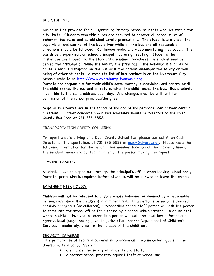#### BUS STUDENTS

Busing will be provided for all Dyersburg Primary School students who live within the city limits. Students who ride buses are required to observe all school rules of behavior, bus rules and established safety precautions. The students are under the supervision and control of the bus driver while on the bus and all reasonable directions should be followed. Continuous audio and video monitoring may occur. The bus driver, supervisor, or school principal may assign seating. Students that misbehave are subject to the standard discipline procedures. A student may be denied the privilege of riding the bus by the principal if the behavior is such as to cause a serious disruption on the bus or if the actions endanger the safety or well being of other students. A complete list of bus conduct is on the Dyersburg City Schools website at http://www.dyersburgcityschools.org Parents are responsible for their child's care, custody, supervision, and control until the child boards the bus and on return, when the child leaves the bus. Bus students must ride to the same address each day. Any changes must be with written permission of the school principal/designee.

Maps of bus routes are in the school office and office personnel can answer certain questions. Further concerns about bus schedules should be referred to the Dyer County Bus Shop at 731-285-5852.

#### TRANSPORTATION SAFETY CONCERNS

To report unsafe driving of a Dyer County School Bus, please contact Allen Cook, Director of Transportation, at 731-285-5852 or acook@dyercs.net. Please have the following information for the report: bus number, location of the incident, time of the incident, name and contact number of the person making the report.

#### LEAVING CAMPUS

Students must be signed out through the principal's office when leaving school early. Parental permission is required before students will be allowed to leave the campus.

#### IMMINENT RISK POLICY

Children will not be released to anyone whose behavior, as deemed by a reasonable person, may place the child(ren) in imminent risk. If a person's behavior is deemed possibly dangerous for child(ren), a responsible school staff person will ask the person to come into the school office for clearing by a school administrator. In an incident where a child is involved, a responsible person will call the local law enforcement agency, local judge, having juvenile jurisdiction, and/or Department of Children's Services immediately, prior to the release of the child(ren).

#### SECURITY CAMERAS

The primary use of security cameras is to accomplish two important goals in the Dyersburg City School System:

- To enhance the safety of students and staff;
- To protect school property against theft or vandalism;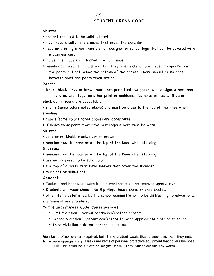# (7) STUDENT DRESS CODE

#### Shirts:

- are not required to be solid colored
- must have a collar and sleeves that cover the shoulder
- have no printing other than a small designer or school logo that can be covered with a business card
- males must have shirt tucked in at all times
- females can wear shirttails out, but they must extend to at least mid-pocket on the pants but not below the bottom of the pocket. There should be no gaps between shirt and pants when sitting.

#### Pants:

khaki, black, navy or brown pants are permitted. No graphics or designs other than

manufacturer tags; no other print or emblems. No holes or tears. Blue or black denim jeans are acceptable

• shorts (same colors noted above) and must be close to the top of the knee when standing

- capris (same colors noted above) are acceptable
- if males wear pants that have belt loops a belt must be worn

#### Skirts:

- solid color: khaki, black, navy or brown
- hemline must be near or at the top of the knee when standing

#### Dresses:

- hemline must be near or at the top of the knee when standing
- are not required to be solid color
- the top of a dress must have sleeves that cover the shoulder
- must not be skin-tight

#### General:

- Jackets and headwear worn in cold weather must be removed upon arrival.
- Students will wear shoes. No flip-flops, house shoes or shoe skates.

• other items determined by the school administration to be distracting to educational environment are prohibited

#### Compliance/Dress Code Consequences:

- First Violation verbal reprimand/contact parents
- Second Violation parent conference to bring appropriate clothing to school
- Third Violation detention/parent contact

**Masks -** Mask are not required, but if any student would like to wear one, then they need to be worn appropriately. Masks are items of personal protective equipment that covers the nose and mouth. This could be a cloth or surgical mask. They cannot contain any words.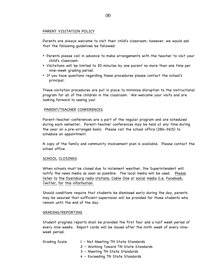#### PARENT VISITATION POLICY

Parents are always welcome to visit their child's classroom; however, we would ask that the following guidelines be followed:

- Parents please call in advance to make arrangements with the teacher to visit your child's classroom.
- Visitations will be limited to 20 minutes by one parent no more than one time per nine-week grading period.
- If you have questions regarding these procedures please contact the school's principal.

These visitation procedures are put in place to minimize disruption to the instructional program for all of the children in the classroom. We welcome your visits and are looking forward to seeing you!

#### PARENT/TEACHER CONFERENCES

Parent-teacher conferences are a part of the regular program and are scheduled during each semester. Parent-teacher conferences may be held at any time during the year on a pre-arranged basis. Please call the school office (286-3615) to schedule an appointment.

A copy of the family and community involvement plan is available. Please contact the school office.

#### SCHOOL CLOSINGS

When schools must be closed due to inclement weather, the Superintendent will notify the news media as soon as possible. The local media will be used. Please listen to the Dyersburg radio stations, Cable One or social media (i.e. Facebook, Twitter, for this information.

Should conditions require that students be dismissed early during the day, parents may be assured that sufficient supervision will be provided for those students who remain until the end of the day.

#### GRADING/REPORTING

Student progress reports shall be provided the first four and a half week period of every nine weeks. Report cards will be issued after the ninth week of every nineweek period.

| Grading Scale | 1 - Not Meeting TN State Standards    |
|---------------|---------------------------------------|
|               | 2 - Working Toward TN State Standards |
|               | 3 - Meeting TN State Standards        |

4 – Exceeding TN State Standards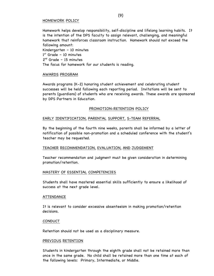#### HOMEWORK POLICY

Homework helps develop responsibility, self-discipline and lifelong learning habits. It is the intention of the DPS faculty to assign relevant, challenging, and meaningful homework that reinforces classroom instruction. Homework should not exceed the following amount:

Kindergarten – 10 minutes 1 st Grade – 10 minutes  $2^{nd}$  Grade – 15 minutes The focus for homework for our students is reading.

#### AWARDS PROGRAM

Awards programs (K-2) honoring student achievement and celebrating student successes will be held following each reporting period. Invitations will be sent to parents (guardians) of students who are receiving awards. These awards are sponsored by DPS Partners in Education.

#### PROMOTION-RETENTION POLICY

#### EARLY IDENTIFICATION, PARENTAL SUPPORT, S-TEAM REFERRAL

By the beginning of the fourth nine weeks, parents shall be informed by a letter of notification of possible non-promotion and a scheduled conference with the student's teacher may be requested.

#### TEACHER RECOMMENDATION, EVALUATION, AND JUDGEMENT

Teacher recommendation and judgment must be given consideration in determining promotion/retention.

#### MASTERY OF ESSENTIAL COMPETENCIES

Students shall have mastered essential skills sufficiently to ensure a likelihood of success at the next grade level.

#### ATTENDANCE

It is relevant to consider excessive absenteeism in making promotion/retention decisions.

#### **CONDUCT**

Retention should not be used as a disciplinary measure.

#### PREVIOUS RETENTION

Students in kindergarten through the eighth grade shall not be retained more than once in the same grade. No child shall be retained more than one time at each of the following levels: Primary, Intermediate, or Middle.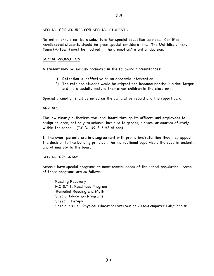#### (10)

#### SPECIAL PROCEDURES FOR SPECIAL STUDENTS

Retention should not be a substitute for special education services. Certified handicapped students should be given special considerations. The Multidisciplinary Team (M-Team) must be involved in the promotion/retention decision.

#### SOCIAL PROMOTION

A student may be socially promoted in the following circumstances:

- 1) Retention is ineffective as an academic intervention.
- 2) The retained student would be stigmatized because he/she is older, larger, and more socially mature than other children in the classroom.

Special promotion shall be noted on the cumulative record and the report card.

#### APPEALS

The law clearly authorizes the local board through its officers and employees to assign children, not only to schools, but also to grades, classes, or courses of study within the school. (T.C.A. 49-6-3192 et seq)

In the event parents are in disagreement with promotion/retention they may appeal the decision to the building principal, the instructional supervisor, the superintendent, and ultimately to the board.

#### SPECIAL PROGRAMS

Schools have special programs to meet special needs of the school population. Some of these programs are as follows:

Reading Recovery H.O.S.T.S. Readiness Program Remedial Reading and Math Special Education Programs Speech Therapy Special Skills: Physical Education/Art/Music/STEM-Computer Lab/Spanish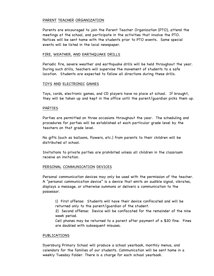#### PARENT TEACHER ORGANIZATION

Parents are encouraged to join the Parent Teacher Organization (PTO), attend the meetings at the school, and participate in the activities that involve the PTO. Notices will be sent home with the students prior to PTO events. Some special events will be listed in the local newspaper.

#### FIRE, WEATHER, AND EARTHQUAKE DRILLS

Periodic fire, severe weather and earthquake drills will be held throughout the year. During such drills, teachers will supervise the movement of students to a safe location. Students are expected to follow all directions during these drills.

#### TOYS AND ELECTRONIC GAMES

Toys, cards, electronic games, and CD players have no place at school. If brought, they will be taken up and kept in the office until the parent/guardian picks them up.

#### PARTIES

Parties are permitted on three occasions throughout the year. The scheduling and procedures for parties will be established at each particular grade level by the teachers on that grade level.

No gifts (such as balloons, flowers, etc.) from parents to their children will be distributed at school.

Invitations to private parties are prohibited unless all children in the classroom receive an invitation.

#### PERSONAL COMMUNICATION DEVICES

Personal communication devices may only be used with the permission of the teacher. A "personal communication device" is a device that emits an audible signal, vibrates, displays a message, or otherwise summons or delivers a communication to the possessor.

1) First offense: Students will have their device confiscated and will be returned only to the parent/guardian of the student.

2) Second offense: Device will be confiscated for the remainder of the nine week period.

Cell phones may be returned to a parent after payment of a \$20 fine. Fines are doubled with subsequent misuses.

#### PUBLICATIONS

Dyersburg Primary School will produce a school yearbook, monthly menus, and calendars for the families of our students. Communication will be sent home in a weekly Tuesday Folder. There is a charge for each school yearbook.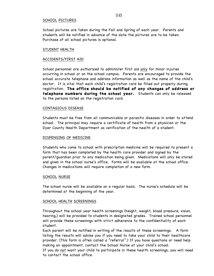#### SCHOOL PICTURES

School pictures are taken during the Fall and Spring of each year. Parents and students will be notified in advance of the date the pictures are to be taken. Purchase of all school pictures is optional.

#### STUDENT HEALTH

#### ACCIDENTS/FIRST AID

School personnel are authorized to administer first aid only for minor injuries occurring in school or on the school campus. Parents are encouraged to provide the school accurate telephone and address information as well as the name of the child's doctor. It is vital that each child's registration card be filled out properly during registration. **The office should be notified of any changes of address or telephone numbers during the school year.** Students can only be released to the persons listed on the registration card.

#### CONTAGIOUS DISEASE

Students must be free from all communicable or parasitic diseases in order to attend school. The principal may require a certificate of health from a physician or the Dyer County Health Department as verification of the health of a student.

#### DISPENSING OF MEDICINE

Students who come to school with prescription medicine will be required to present a form that has been completed by the health care provider and signed by the parent/guardian prior to any medication being given. Medications will only be stored and given in the school nurse's office. Forms will be available at the school office. Changes in medications will require completion of a new form.

#### SCHOOL NURSE

The school nurse will be available on a regular basis. The nurse's schedule will be determined at the beginning of the year.

#### SCHOOL HEALTH SCREENINGS

Throughout the school year health screenings (height, weight, blood pressure, vision, hearing,) will be provided to students in designated grades. Trained school personnel will provide these screenings with strict adherence to the confidentiality of each student.

Each parent will be notified in writing of the results of these screenings. A form listing the results will advise you if you need to take your child to their healthcare provider. (This form is often called a "referral".) If you have questions or need help making an appointment, contact the School Nurse at your child's school.

If you do not want your child to participate in these health screenings, you will need to contact the school office.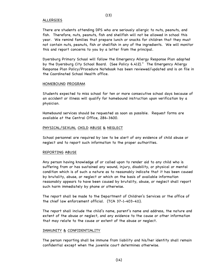#### ALLERGIES

There are students attending DPS who are seriously allergic to nuts, peanuts, and fish. Therefore, nuts, peanuts, fish and shellfish will not be allowed in school this year. We remind families that prepare lunch or snacks for children that they must not contain nuts, peanuts, fish or shellfish in any of the ingredients. We will monitor this and report concerns to you by a letter from the principal.

Dyersburg Primary School will follow the Emergency Allergy Response Plan adopted by the Dyersburg City School Board. (See Policy 6.412)." The Emergency Allergy Response Plan Policy/Procedure Notebook has been reviewed/updated and is on file in the Coordinated School Health office.

#### HOMEBOUND PROGRAM

Students expected to miss school for ten or more consecutive school days because of an accident or illness will qualify for homebound instruction upon verification by a physician.

Homebound services should be requested as soon as possible. Request forms are available at the Central Office, 286-3600.

#### PHYSICAL/SEXUAL CHILD ABUSE & NEGLECT

School personnel are required by law to be alert of any evidence of child abuse or neglect and to report such information to the proper authorities.

#### REPORTING ABUSE

Any person having knowledge of or called upon to render aid to any child who is suffering from or has sustained any wound, injury, disability, or physical or mental condition which is of such a nature as to reasonably indicate that it has been caused by brutality, abuse, or neglect or which on the basis of available information reasonably appears to have been caused by brutality, abuse, or neglect shall report such harm immediately by phone or otherwise.

The report shall be made to the Department of Children's Services or the office of the chief law enforcement official. (TCA 37-1-403-411).

The report shall include the child's name, parent's name and address, the nature and extent of the abuse or neglect, and any evidence to the cause or other information that may relate to the cause or extent of the abuse or neglect.

#### IMMUNITY & CONFIDENTIALITY

The person reporting shall be immune from liability and his/her identity shall remain confidential except when the juvenile court determines otherwise.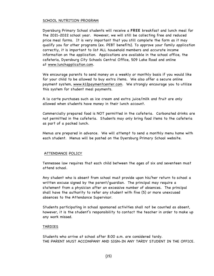#### SCHOOL NUTRITION PROGRAM

Dyersburg Primary School students will receive a FREE breakfast and lunch meal for the 2021-2022 school year. However, we will still be collecting free and reduced price meal forms. It is very important that you still complete the form as it may qualify you for other programs (ex. PEBT benefits). To approve your family application correctly, it is important to list ALL household members and accurate income information on the application. Applications are available in the school office, the cafeteria, Dyersburg City Schools Central Office, 509 Lake Road and online at www.lunchapplication.com.

We encourage parents to send money on a weekly or monthly basis if you would like for your child to be allowed to buy extra items. We also offer a secure online payment system, www.k12paymentcenter.com. We strongly encourage you to utilize this system for student meal payments.

A la carte purchases such as ice cream and extra juice/milk and fruit are only allowed when students have money in their lunch account.

Commercially prepared food is NOT permitted in the cafeteria. Carbonated drinks are not permitted in the cafeteria. Students may only bring food items to the cafeteria as part of a packed lunch.

Menus are prepared in advance. We will attempt to send a monthly menu home with each student. Menus will be posted on the Dyersburg Primary School website.

#### ATTENDANCE POLICY

Tennessee law requires that each child between the ages of six and seventeen must attend school.

Any student who is absent from school must provide upon his/her return to school a written excuse signed by the parent/guardian. The principal may require a statement from a physician after an excessive number of absences. The principal shall have the authority to refer any student with five (5) or more unexcused absences to the Attendance Supervisor.

Students participating in school sponsored activities shall not be counted as absent, however, it is the student's responsibility to contact the teacher in order to make up any work missed.

#### TARDIES

Students who arrive at school after 8:00 a.m. are considered tardy. THE PARENT MUST ACCOMPANY AND SIGN-IN ANY TARDY STUDENT IN THE OFFICE.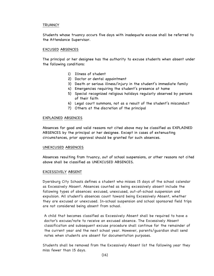#### **TRUANCY**

Students whose truancy occurs five days with inadequate excuse shall be referred to the Attendance Supervisor.

#### EXCUSED ABSENCES

The principal or her designee has the authority to excuse students when absent under the following conditions:

- 1) Illness of student
- 2) Doctor or dental appointment
- 3) Death or serious illness/injury in the student's immediate family
- 4) Emergencies requiring the student's presence at home
- 5) Special recognized religious holidays regularly observed by persons of their faith
- 6) Legal court summons, not as a result of the student's misconduct
- 7) Others at the discretion of the principal

#### EXPLAINED ABSENCES

Absences for good and valid reasons not cited above may be classified as EXPLAINED ABSENCES by the principal or her designee. Except in cases of extenuating circumstances, prior approval should be granted for such absences.

#### UNEXCUSED ABSENCES

Absences resulting from truancy, out of school suspensions, or other reasons not cited above shall be classified as UNEXCUSED ABSENCES.

#### EXCESSIVELY ABSENT

Dyersburg City Schools defines a student who misses 15 days of the school calendar as Excessively Absent. Absences counted as being excessively absent include the following types of absences: excused, unexcused, out-of-school suspension and expulsion. All student's absences count toward being Excessively Absent, whether they are excused or unexcused. In-school suspension and school sponsored field trips are not considered being absent from school.

A child that becomes classified as Excessively Absent shall be required to have a doctor's excuse/note to receive an excused absence. The Excessively Absent classification and subsequent excuse procedure shall continue for the remainder of the current year and the next school year. However, parents/guardian shall send notes when students are absent for documentation purposes.

Students shall be removed from the Excessively Absent list the following year they miss fewer than 15 days.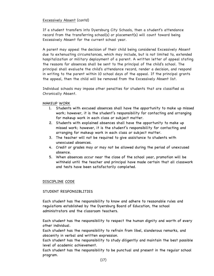#### Excessively Absent (contd)

If a student transfers into Dyersburg City Schools, then a student's attendance record from the transferring school(s) or placement(s) will count toward being Excessively Absent for the current school year.

A parent may appeal the decision of their child being considered Excessively Absent due to extenuating circumstances, which may include, but is not limited to, extended hospitalization or military deployment of a parent. A written letter of appeal stating the reasons for absences shall be sent to the principal of the child's school. The principal shall evaluate the child's attendance record, render a decision, and respond in writing to the parent within 10 school days of the appeal. If the principal grants the appeal, then the child will be removed from the Excessively Absent list.

Individual schools may impose other penalties for students that are classified as Chronically Absent.

#### MAKEUP WORK

- 1. Students with excused absences shall have the opportunity to make up missed work; however, it is the student's responsibility for contacting and arranging for makeup work in each class or subject matter.
- 2. Students with explained absences shall have the opportunity to make up missed work; however, it is the student's responsibility for contacting and arranging for makeup work in each class or subject matter.
- 3. The teacher will not be required to give assistance to students with unexcused absences.
- 4. Credit or grades may or may not be allowed during the period of unexcused absence.
- 5. When absences occur near the close of the school year, promotion will be withheld until the teacher and principal have made certain that all classwork and tests have been satisfactorily completed.

#### DISCIPLINE CODE

#### STUDENT RESPONSIBLITIES

Each student has the responsibility to know and adhere to reasonable rules and regulations established by the Dyersburg Board of Education, the school administrators and the classroom teachers.

Each student has the responsibility to respect the human dignity and worth of every other individual.

Each student has the responsibility to refrain from libel, slanderous remarks, and obscenity in verbal and written expression.

Each student has the responsibility to study diligently and maintain the best possible level of academic achievement.

Each student has the responsibility to be punctual and present in the regular school program.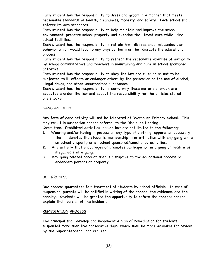Each student has the responsibility to dress and groom in a manner that meets reasonable standards of health, cleanliness, modesty, and safety. Each school shall enforce its own standards.

Each student has the responsibility to help maintain and improve the school environment, preserve school property and exercise the utmost care while using school facilities.

Each student has the responsibility to refrain from disobedience, misconduct, or behavior which would lead to any physical harm or that disrupts the educational process.

Each student has the responsibility to respect the reasonable exercise of authority by school administrators and teachers in maintaining discipline in school sponsored activities.

Each student has the responsibility to obey the law and rules so as not to be subjected to ill effects or endanger others by the possession or the use of alcohol, illegal drugs, and other unauthorized substances.

Each student has the responsibility to carry only those materials, which are acceptable under the law and accept the responsibility for the articles stored in one's locker.

#### GANG ACTIVITY

Any form of gang activity will not be tolerated at Dyersburg Primary School. This may result in suspension and/or referral to the Discipline Hearing Committee. Prohibited activities include but are not limited to the following:

1. Wearing and/or having in possession any type of clothing, apparel or accessory that denotes the students' membership in or affiliation with any gang while

on school property or at school sponsored/sanctioned activities.

- 2. Any activity that encourages or promotes participation in a gang or facilitates illegal acts of a gang.
- 3. Any gang related conduct that is disruptive to the educational process or endangers persons or property.

#### DUE PROCESS

Due process guarantees fair treatment of students by school officials. In case of suspension, parents will be notified in writing of the charge, the evidence, and the penalty. Students will be granted the opportunity to refute the charges and/or explain their version of the incident.

#### REMEDIATION PROCESS

The principal shall develop and implement a plan of remediation for students suspended more than five consecutive days, which shall be made available for review by the Superintendent upon request.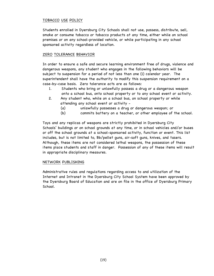#### TOBACCO USE POLICY

Students enrolled in Dyersburg City Schools shall not use, possess, distribute, sell, smoke or consume tobacco or tobacco products at any time, either while on school premises or on any school-provided vehicle, or while participating in any school sponsored activity regardless of location.

#### ZERO TOLERANCE BEHAVIOR

In order to ensure a safe and secure learning environment free of drugs, violence and dangerous weapons, any student who engages in the following behaviors will be subject to suspension for a period of not less than one (1) calendar year. The superintendent shall have the authority to modify this suspension requirement on a case-by-case basis. Zero tolerance acts are as follows:

- 1. Students who bring or unlawfully possess a drug or a dangerous weapon onto a school bus, onto school property or to any school event or activity.
- 2. Any student who, while on a school bus, on school property or while attending any school event or activity -
	- (a) unlawfully possesses a drug or dangerous weapon; or
	- (b) commits battery on a teacher, or other employee of the school.

Toys and any replicas of weapons are strictly prohibited in Dyersburg City Schools' buildings or on school grounds at any time, or in school vehicles and/or buses or off the school grounds at a school-sponsored activity, function or event. This list includes, but is not limited to, Bb/pellet guns, air-soft guns, knives, and tasers. Although, these items are not considered lethal weapons, the possession of these items place students and staff in danger. Possession of any of these items will result in appropriate disciplinary measures.

#### NETWORK PUBLISHING

Administrative rules and regulations regarding access to and utilization of the Internet and Intranet in the Dyersburg City School System have been approved by the Dyersburg Board of Education and are on file in the office of Dyersburg Primary School.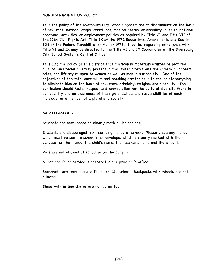#### NONDISCRIMINATION POLICY

It is the policy of the Dyersburg City Schools System not to discriminate on the basis of sex, race, national origin, creed, age, marital status, or disability in its educational programs, activities, or employment policies as required by Title VI and Title VII of the 1964 Civil Rights Act, Title IX of the 1972 Educational Amendments and Section 504 of the Federal Rehabilitation Act of 1973. Inquiries regarding compliance with Title VI and IX may be directed to the Title VI and IX Coordinator at the Dyersburg City School System's Central Office.

It is also the policy of this district that curriculum materials utilized reflect the cultural and racial diversity present in the United States and the variety of careers, roles, and life styles open to women as well as men in our society. One of the objectives of the total curriculum and teaching strategies is to reduce stereotyping to eliminate bias on the basis of sex, race, ethnicity, religion, and disability. The curriculum should foster respect and appreciation for the cultural diversity found in our country and an awareness of the rights, duties, and responsibilities of each individual as a member of a pluralistic society.

#### MISCELLANEOUS

Students are encouraged to clearly mark all belongings.

Students are discouraged from carrying money at school. Please place any money, which must be sent to school in an envelope, which is clearly marked with the purpose for the money, the child's name, the teacher's name and the amount.

Pets are not allowed at school or on the campus.

A lost and found service is operated in the principal's office.

Backpacks are recommended for all (K-2) students. Backpacks with wheels are not allowed.

Shoes with in-line skates are not permitted.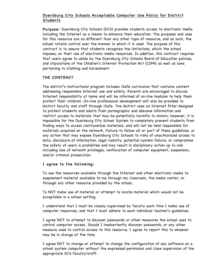# Dyersburg City Schools Acceptable Computer Use Policy for District Students

Purpose: Dyersburg City Schools (DCS) provides students access to electronic media including the Internet as a means to enhance their education. The purposes and uses for this resource are no different than any other type of resource, and as such, the school retains control over the manner in which it is used. The purpose of this contract is to assure that students recognize the limitations, which the school imposes, on their use of electronic media resources. In addition, this contract requires that users agree to abide by the Dyersburg City Schools Board of Education policies, and stipulations of the Children's Internet Protection Act (CIPA) as well as laws pertaining to stalking and harassment.

#### THE CONTRACT

The district's instructional program includes iSafe curriculum that contains content addressing responsible Internet use and safety. Parents are encouraged to discuss Internet responsibility at home and will be informed of on-line modules to help them protect their children. On-line professional development will also be provided to district faculty and staff through iSafe. The district uses an Internet filter designed to protect students and adults from pornographic and obscene information and restrict access to materials that may be potentially harmful to minors; however, it is impossible for the Dyersburg City School System to completely prevent students from finding ways to access controversial materials, and will not be held responsible for materials acquired on the network. Failure to follow all or part of these guidelines, or any action that may expose Dyersburg City Schools to risks of unauthorized access to data, disclosure of information, legal liability, potential system failure, or compromise the safety of users is prohibited and may result in disciplinary action up to and including loss of network privileges, confiscation of computer equipment, suspension, and/or criminal prosecution.

## I agree to the following:

To use the resources available through the Internet and other electronic media to supplement material available to me through my classroom, the media center, or through any other resource provided by the school.

To NOT make use of material or attempt to locate material which would not be acceptable in a school setting.

I understand that I must be closely supervised by faculty each time I make use of computer resources, and that I must adhere to each individual teacher's guidelines.

I agree NOT to attempt to discover passwords or other measures the school uses to control computer access. Should I inadvertently discover passwords, or any other measure used to control access to this resource, I agree to report this to whoever may be in charge at the time.

I agree NOT to change or attempt to change the configuration of any software on a school system computer without the expressed permission and close supervision of the appropriate DCS faculty/staff.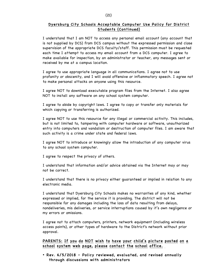#### Dyersburg City Schools Acceptable Computer Use Policy for District Students (Continued)

I understand that I am NOT to access any personal email account (any account that is not supplied by DCS) from DCS campus without the expressed permission and close supervision of the appropriate DCS faculty/staff. This permission must be requested each time I attempt to access my email account from a DCS computer. I agree to make available for inspection, by an administrator or teacher, any messages sent or received by me at a campus location.

I agree to use appropriate language in all communications. I agree not to use profanity or obscenity, and I will avoid offensive or inflammatory speech. I agree not to make personal attacks on anyone using this resource.

I agree NOT to download executable program files from the Internet. I also agree NOT to install any software on any school system computer.

I agree to abide by copyright laws. I agree to copy or transfer only materials for which copying or transferring is authorized.

I agree NOT to use this resource for any illegal or commercial activity. This includes, but is not limited to, tampering with computer hardware or software, unauthorized entry into computers and vandalism or destruction of computer files. I am aware that such activity is a crime under state and federal laws.

I agree NOT to introduce or knowingly allow the introduction of any computer virus to any school system computer.

I agree to respect the privacy of others.

I understand that information and/or advice obtained via the Internet may or may not be correct.

I understand that there is no privacy either guaranteed or implied in relation to any electronic media.

I understand that Dyersburg City Schools makes no warranties of any kind, whether expressed or implied, for the service it is providing. The district will not be responsible for any damages including the loss of data resulting from delays, nondeliveries, mis deliveries, or service interruptions caused by it's own negligence or my errors or omissions.

I agree not to attach computers, printers, network equipment (including wireless access points), or other types of hardware to the District's network without prior approval.

PARENTS: If you do NOT wish to have your child's picture posted on a school system web page, please contact the school office.

• Rev. 6/5/2018 – Policy reviewed, evaluated, and revised annually through discussions with administrators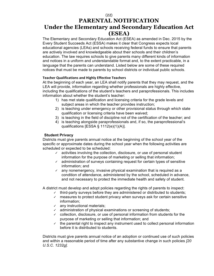# (22) **PARENTAL NOTIFICATION**

# **Under the Elementary and Secondary Education Act (ESEA)**

The Elementary and Secondary Education Act (ESEA) as amended in Dec. 2015 by the Every Student Succeeds Act (ESSA) makes it clear that Congress expects local educational agencies (LEAs) and schools receiving federal funds to ensure that parents are actively involved and knowledgeable about their schools and their children's education. The law requires schools to give parents many different kinds of information and notices in a uniform and understandable format and, to the extent practicable, in a language that the parents can understand. Listed below are some of these required notices that must be made to parents by school districts or individual public schools.

## **Teacher Qualifications and Highly Effective Teachers**

At the beginning of each year, an LEA shall notify parents that they may request, and the LEA will provide, information regarding whether professionals are highly effective, including the qualifications of the student's teachers and paraprofessionals. This includes information about whether the student's teacher:

- 1) has met state qualification and licensing criteria for the grade levels and subject areas in which the teacher provides instruction;
- 2) is teaching under emergency or other provisional status through which state qualification or licensing criteria have been waived;
- 3) is teaching in the field of discipline not of the certification of the teacher; and
- 4) is teaching alongside paraprofessionals and, if so, the paraprofessional's qualifications [ESSA § 1112(e)(1)(A)].

# **Student Privacy**

Districts must give parents annual notice at the beginning of the school year of the specific or approximate dates during the school year when the following activities are scheduled or expected to be scheduled:

- ✓ activities involving the collection, disclosure, or use of personal student information for the purpose of marketing or selling that information;
- ✓ administration of surveys containing request for certain types of sensitive information; and
- ✓ any nonemergency, invasive physical examination that is required as a condition of attendance, administered by the school, scheduled in advance, and not necessary to protect the immediate health and safety of student.

A district must develop and adopt policies regarding the rights of parents to inspect:

- ✓ third-party surveys before they are administered or distributed to students;
- $\sim$  measures to protect student privacy when surveys ask for certain sensitive information;
- $\checkmark$  any instructional materials;
- ✓ administration of physical examinations or screening of students;
- ✓ collection, disclosure, or use of personal information from students for the purpose of marketing or selling that information; and
- ✓ the parental right to inspect any instrument used to collect personal information before it is distributed to students.

Districts must give parents annual notice of an adoption or continued use of such policies and within a reasonable period of time after any substantive change in such policies *[20 U.S.C. 1232g].*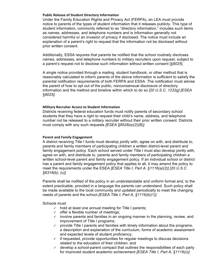#### **Public Release of Student Directory Information**

Under the Family Education Rights and Privacy Act (FERPA), an LEA must provide notice to parents of the types of student information that it releases publicly. This type of student information, commonly referred to as "directory information," includes such items as names, addresses, and telephone numbers and is information generally not considered harmful or an invasion of privacy if disclosed. The notice must include an explanation of a parent's right to request that the information not be disclosed without prior written consent.

Additionally, ESSA requires that parents be notified that the school routinely discloses names, addresses, and telephone numbers to military recruiters upon request, subject to a parent's request not to disclose such information without written consent [*§8025*].

A single notice provided through a mailing, student handbook, or other method that is reasonably calculated to inform parents of the above information is sufficient to satisfy the parental notification requirements of both FERPA and ESSA. The notification must advise the parent of how to opt out of the public, nonconsensual disclosure of directory information and the method and timeline within which to do so *[20 U.S.C. 1232g] [ESEA §8025].*

#### **Military Recruiter Access to Student Information**

Districts receiving federal education funds must notify parents of secondary school students that they have a right to request their child's name, address, and telephone number not be released to a military recruiter without their prior written consent. Districts must comply with any such requests *[ESEA §8528(a)(2)(B)].*

#### **Parent and Family Engagement**

A district receiving Title I funds must develop jointly with, agree on with, and distribute to, parents and family members of participating children a written district-level parent and family engagement policy. Each school served under Title I must also develop jointly with, agree on with, and distribute to, parents and family members of participating children a written school-level parent and family engagement policy. If an individual school or district has a parent and family engagement policy that applies to all, it may amend the policy to meet the requirements under the ESEA *[ESEA Title I, Part A, §1116(a)(2)] [20 U.S.C. §6318(b); (c)].*

Parents shall be notified of the policy in an understandable and uniform format and, to the extent practicable, provided in a language the parents can understand. Such policy shall be made available to the local community and updated periodically to meet the changing needs of parents and the school *[ESEA Title I, Part A, §1116(b)(1)].*

Schools must:

- ✓ hold at least one annual meeting for Title I parents;
- $\checkmark$  offer a flexible number of meetings;
- ✓ involve parents and families in an ongoing manner in the planning, review, and improvement of Title I programs;
- $\vee$  provide Title I parents and families with timely information about the programs, a description and explanation of the curriculum, forms of academic assessment and expected levels of student proficiency;
- $\checkmark$  if requested, provide opportunities for regular meetings to discuss decisions related to the education of their children; and
- ✓ develop a school-parent compact that outlines the responsibilities of each party for improved student academic achievement *[ESEA Title I, Part A, §1116(c)]*.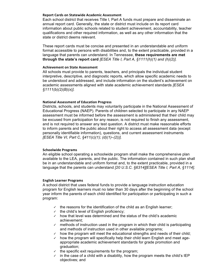#### **Report Cards on Statewide Academic Assessment**

Each school district that receives Title I, Part A funds must prepare and disseminate an annual report card. Generally, the state or district must include on its report card information about public schools related to student achievement, accountability, teacher qualifications and other required information, as well as any other information that the state or district deems relevant.

These report cards must be concise and presented in an understandable and uniform format accessible to persons with disabilities and, to the extent practicable, provided in a language that parents can understand. In Tennessee, **these requirements are met through the state's report card** *[ESEA Title I, Part A, §1111(h)(1) and (h)(2)].*

#### **Achievement on State Assessment**

All schools must provide to parents, teachers, and principals the individual student interpretive, descriptive, and diagnostic reports, which allow specific academic needs to be understood and addressed, and include information on the student's achievement on academic assessments aligned with state academic achievement standards *[ESEA §1111(b)(2)(B)(x)].*

#### **National Assessment of Education Progress**

Districts, schools, and students may voluntarily participate in the National Assessment of Educational Progress (NAEP). Parents of children selected to participate in any NAEP assessment must be informed before the assessment is administered that their child may be excused from participation for any reason, is not required to finish any assessment, and is not required to answer any test question. A district must make reasonable efforts to inform parents and the public about their right to access all assessment data (except personally identifiable information), questions, and current assessment instruments *[ESEA Title VI, Part C, §411(c)(1); (d)(1)–(2))].*

#### **Schoolwide Programs**

An eligible school operating a schoolwide program shall make the comprehensive plan available to the LEA, parents, and the public. The information contained in such plan shall be in an understandable and uniform format and, to the extent practicable, provided in a language that the parents can understand *[20 U.S.C. §6314][ESEA Title I, Part A, §1114].*

#### **English Learner Programs**

A school district that uses federal funds to provide a language instruction education program for English learners must no later than 30 days after the beginning of the school year inform the parents of each child identified for participation or participating in such a program:

- ✓ the reasons for the identification of the child as an English learner;
- ✓ the child's level of English proficiency;
- ✓ how that level was determined and the status of the child's academic achievement;
- $\vee$  methods of instruction used in the program in which their child is participating and methods of instruction used in other available programs;
- $\checkmark$  how the program will meet the educational strengths and needs of their child;
- $\checkmark$  how the program will specifically help their child learn English and meet ageappropriate academic achievement standards for grade promotion and graduation;
- $\checkmark$  the specific exit requirements for the program;
- $\checkmark$  in the case of a child with a disability, how the program meets the child's IEP objectives; and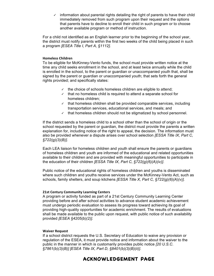$\checkmark$  information about parental rights detailing the right of parents to have their child immediately removed from such program upon their request and the options that parents have to decline to enroll their child in such program or to choose another available program or method of instruction.

For a child not identified as an English learner prior to the beginning of the school year, the district must notify parents within the first two weeks of the child being placed in such a program *[ESEA Title I, Part A, §1112].*

#### **Homeless Children**

To be eligible for McKinney-Vento funds, the school must provide written notice at the time any child seeks enrollment in the school, and at least twice annually while the child is enrolled in the school, to the parent or guardian or unaccompanied youth that, shall be signed by the parent or guardian or unaccompanied youth; that sets forth the general rights provided; and specifically states:

- $\checkmark$  the choice of schools homeless children are eligible to attend;
- $\checkmark$  that no homeless child is required to attend a separate school for homeless children;
- ✓ that homeless children shall be provided comparable services, including transportation services, educational services, and meals; and
- ✓ that homeless children should not be stigmatized by school personnel.

If the district sends a homeless child to a school other than the school of origin or the school requested by the parent or guardian, the district must provide the parents a written explanation for, including notice of the right to appeal, the decision. The information must also be provided whenever a dispute arises over school selection *[ESSA Title IX, Part C, §722(g)(3)(B)]*.

Each LEA liaison for homeless children and youth shall ensure the parents or guardians of homeless children and youth are informed of the educational and related opportunities available to their children and are provided with meaningful opportunities to participate in the education of their children *[ESSA Title IX, Part C, §722(g)(6)(A)(iv)]*.

Public notice of the educational rights of homeless children and youths is disseminated where such children and youths receive services under the McKinney-Vento Act, such as schools, family shelters, and soup kitchens *[ESSA Title X, Part C, §722(g)(6)(A)(v)].*

#### **21st Century Community Learning Centers**

A program or activity funded as part of a 21st Century Community Learning Center providing before and after school activities to advance student academic achievement must undergo periodic evaluation to assess its progress toward achieving its goal of providing high-quality opportunities for academic enrichment. The results of evaluations shall be made available to the public upon request, with public notice of such availability provided *[ESEA §4205(b)(2)].*

#### **Waiver Request**

If a school district requests the U.S. Secretary of Education to waive any provision or regulation of the ESEA, it must provide notice and information about the waiver to the public in the manner in which is customarily provides public notice *[20 U.S.C. §7861(b)(3)(B)] [ESEA Title IX, Part D, §8401(b)(3)(B)(ii)].*

# **ACKNOWLEDGEMENT PAGE**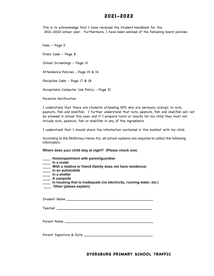# **2021-2022**

This is to acknowledge that I have received the Student Handbook for the 2021-2022 school year. Furthermore, I have been advised of the following board policies:

Fees – Page 5 Dress Code – Page 8 School Screenings – Page 13 Attendance Policies - Page 15 & 16 Discipline Code – Page 17 & 18 Acceptable Computer Use Policy - Page 21 Parental Notification

I understand that there are students attending DPS who are seriously allergic to nuts, peanuts, fish and shellfish. I further understand that nuts, peanuts, fish and shellfish will not be allowed in school this year and if I prepare lunch or snacks for my child they must not include nuts, peanuts, fish or shellfish in any of the ingredients.

I understand that I should share the information contained in this booklet with my child.

According to the McKinney-Vento Act, all school systems are required to collect the following information:

**Where does your child stay at night? (Please check one)**

- **\_\_\_\_ Home/apartment with parent/guardian**
- **\_\_\_\_ In a motel**
- **\_\_\_\_ With a relative or friend (family does not have residence)**
- **\_\_\_\_ In an automobile**
- **\_\_\_\_ In a shelter**
- **\_\_\_\_ A campsite**
- **\_\_\_\_ In housing that is inadequate (no electricity, running water, etc.)**
- **\_\_\_\_ Other (please explain)**

Student Name \_\_\_\_\_\_\_\_\_\_\_\_\_\_\_\_\_\_\_\_\_\_\_\_\_\_\_\_\_\_\_\_\_\_\_\_\_\_\_

Teacher \_\_\_\_\_\_\_\_\_\_\_\_\_\_\_\_\_\_\_\_\_\_\_\_\_\_\_\_\_\_\_\_\_\_\_\_\_\_\_\_\_\_\_

Parent Name \_\_\_\_\_\_\_\_\_\_\_\_\_\_\_\_\_\_\_\_\_\_\_\_\_\_\_\_\_\_\_\_\_\_\_\_\_\_\_\_

Parent Signature & Date \_\_\_\_\_\_\_\_\_\_\_\_\_\_\_\_\_\_\_\_\_\_\_\_\_\_\_\_\_\_\_

**DYERSBURG PRIMARY SCHOOL TRAFFIC**